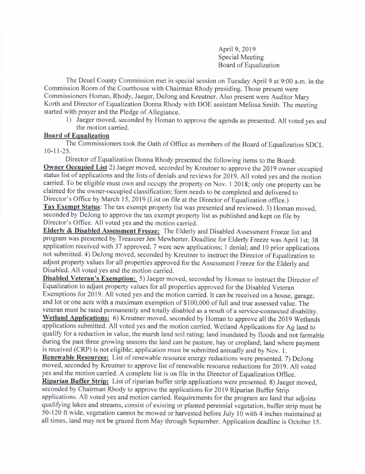April 9,2019 Special Meeting Board of Equalization

The Deuel County Commission met in special session on Tuesday April 9 at 9:00 a.m. in the Commission Room of the Courthouse with Chairman Rhody presiding. Those present were Commissioners Homan, Rhody, Jaeger, DeJong and Kreutner. Also present were Auditor Mary Korth and Director of Equalization Donna Rhody with DOE assistant Melissa Smith. The meeting started with prayer and the Pledge of Allegiance.

l) Jaeger moved, seconded by Homan to approve the agenda as presented. All voted yes and the motion carried.

## Board of Eoualization

The Commissioners took the Oath of Office as members of the Board of Equalization SDCL  $10-11-25$ .

Director of Equalization Donna Rhody presented the following items to the Board: Owner Occupied List 2) Jaeger moved, seconded by Kreutner to approve the 2019 owner occupied status list of applications and the lists of denials and reviews for 2019. All voted yes and the motion carried. To be eligible must own and occupy the property on Nov. I 2018; only one property can be claimed for the owner-occupied classification; form needs to be completed and delivered to Director's Office by March 15, 2019 (List on file ar the Director of Equalization office.) Tax Exempt Status: The tax exempt property list was presented and reviewed. 3) Homan moved, seconded by DeJong to approve the tax exempt property list as published and kept on file by Director's Office. All voted yes and the motion carried.

Elderly & Disabled Assessment Freeze: The Elderly and Disabled Assessment Freeze list and program was presented by Treasurer Jen Mewherter. Deadline for Elderly Freeze was April lst; <sup>38</sup> application received with 37 approved, 7 were new applications; I denial; and l0 prior applications not submitted. 4) DeJong moved, seconded by Kreutner to instruct the Director of Equalization to adjust property values for all properties approved for the Assessment Freeze for the Elderly and Disabled. All voted yes and the motion carried.

Disabled Veteran's Exemption: 5) Jaeger moved, seconded by Homan to instruct the Director of Equalization to adjust property values for all properties approved for the Disabled veteran Exemptions for 2019. All voted yes and the motion carried. lt can be received on a house, garage, and lot or one acre with a maximum exemption of \$100,000 of full and true assessed value. The veteran must be rated permanently and totally disabled as a result of a service-connected disability. Wetland Applications: 6) Kreutner moved, seconded by Homan to approve all the 2019 Wetlands applications submitted. All voted yes and the motion carried. Wetland Applications for Ag land to qualify for a reduction in value, the marsh land soil rating; land inundated by floods and not farmable during the past three growing seasons the land can be pasture, hay or cropland; Iand where paymenr is received (CRP) is not eligible; application must be submitted annually and by Nov. l.

Renewable Resources: List of renewable resource energy reductions were presented. 7) DeJong moved, seconded by Kreutner to approve list of renewable resource reductions for 2019. All voted yes and the motion carried. A complete list is on file in the Director of Equalization Office.

Riparian Buffer Strip: List of riparian buffer strip applications were presented. 8) Jaeger moved, seconded by Chairman Rhody to approve the applications for 2019 Riparian Buffer Strip applications. All voted yes and motion caried. Requirements for the program are land that adjoins qualifying lakes and streams, consist of existing or planted perennial vegetation, buffer strip must be 50- | 20 ft wide, vegetation cannot be mowed or harvested before July l0 with 4 inches maintained at all times, land may not be grazed from May through September. Application deadline is October 15.